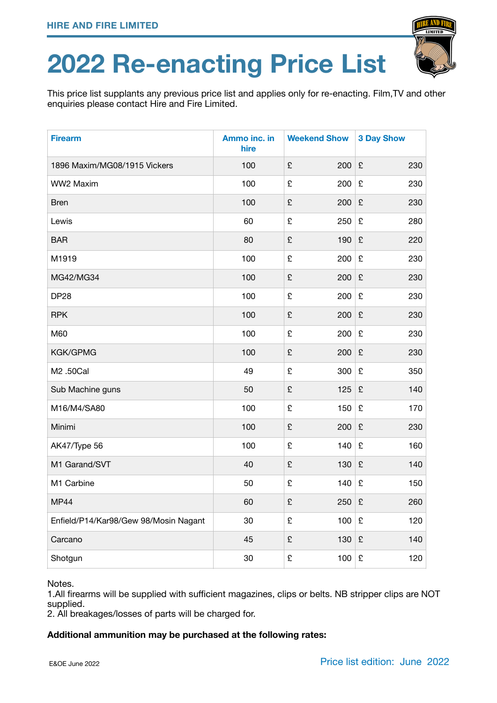## **2022 Re-enacting Price List**

This price list supplants any previous price list and applies only for re-enacting. Film,TV and other enquiries please contact Hire and Fire Limited.

| <b>Firearm</b>                        | Ammo inc. in<br>hire | <b>Weekend Show</b> | <b>3 Day Show</b>           |
|---------------------------------------|----------------------|---------------------|-----------------------------|
| 1896 Maxim/MG08/1915 Vickers          | 100                  | £<br>200            | £<br>230                    |
| WW2 Maxim                             | 100                  | £<br>200            | £<br>230                    |
| <b>Bren</b>                           | 100                  | £<br>200            | £<br>230                    |
| Lewis                                 | 60                   | £<br>250            | £<br>280                    |
| <b>BAR</b>                            | 80                   | £<br>190            | £<br>220                    |
| M1919                                 | 100                  | £<br>200            | £<br>230                    |
| MG42/MG34                             | 100                  | £<br>200            | £<br>230                    |
| <b>DP28</b>                           | 100                  | £<br>200            | £<br>230                    |
| <b>RPK</b>                            | 100                  | £<br>200            | £<br>230                    |
| M60                                   | 100                  | £<br>200            | £<br>230                    |
| KGK/GPMG                              | 100                  | £<br>200            | £<br>230                    |
| M2 .50Cal                             | 49                   | £<br>300            | £<br>350                    |
| Sub Machine guns                      | 50                   | £<br>125            | £<br>140                    |
| M16/M4/SA80                           | 100                  | £<br>150            | £<br>170                    |
| Minimi                                | 100                  | £<br>200            | £<br>230                    |
| AK47/Type 56                          | 100                  | £<br>140            | £<br>160                    |
| M1 Garand/SVT                         | 40                   | £<br>130            | £<br>140                    |
| M1 Carbine                            | 50                   | £<br>140            | £<br>150                    |
| <b>MP44</b>                           | 60                   | £<br>250            | £<br>260                    |
| Enfield/P14/Kar98/Gew 98/Mosin Nagant | 30                   | £<br>100            | £<br>120                    |
| Carcano                               | 45                   | £<br>130            | £<br>140                    |
| Shotgun                               | $30\,$               | £<br>100            | $\pmb{\mathfrak{L}}$<br>120 |

## Notes.

1.All firearms will be supplied with sufficient magazines, clips or belts. NB stripper clips are NOT supplied.

2. All breakages/losses of parts will be charged for.

## **Additional ammunition may be purchased at the following rates:**